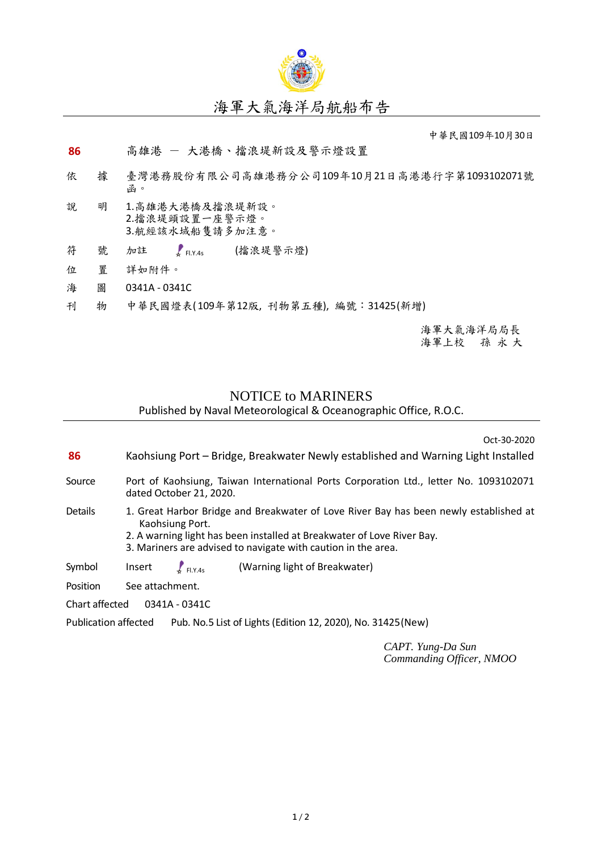

## 海軍大氣海洋局航船布告

中華民國109年10月30日

## **86** 高雄港 - 大港橋、擋浪堤新設及警示燈設置

- 依 據 臺灣港務股份有限公司高雄港務分公司109年10月21日高港港行字第1093102071號 函。
- 說 明 1.高雄港大港橋及擋浪堤新設。 2.擋浪堤頭設置一座警示燈。 3.航經該水域船隻請多加注意。
- 符 號 加註 【HY4s (擋浪堤警示燈)  $\int_{\sigma}$  Fl.Y.4s
- 位 置 詳如附件。
- 海 圖 0341A 0341C
- 刊 物 中華民國燈表( 109年第12版, 刊物第五種), 編號:31425(新增)

海軍大氣海洋局局長 海軍上校 孫 永 大

## NOTICE to MARINERS

Published by Naval Meteorological & Oceanographic Office, R.O.C.

Oct-30-2020

- **86** Kaohsiung Port Bridge, Breakwater Newly established and Warning Light Installed
- Source Port of Kaohsiung, Taiwan International Ports Corporation Ltd., letter No. 1093102071 dated October 21, 2020.
- Details 1. Great Harbor Bridge and Breakwater of Love River Bay has been newly established at Kaohsiung Port.
	- 2. A warning light has been installed at Breakwater of Love River Bay.
	- 3. Mariners are advised to navigate with caution in the area.
- Symbol Insert  $\int_{F|X,45}$  (Warning light of Breakwater)  $F$  Fl.Y.4s
- Position See attachment.
- Chart affected 0341A 0341C

Publication affected Pub. No.5 List of Lights (Edition 12, 2020), No. 31425 (New)

*CAPT. Yung-Da Sun Commanding Officer, NMOO*